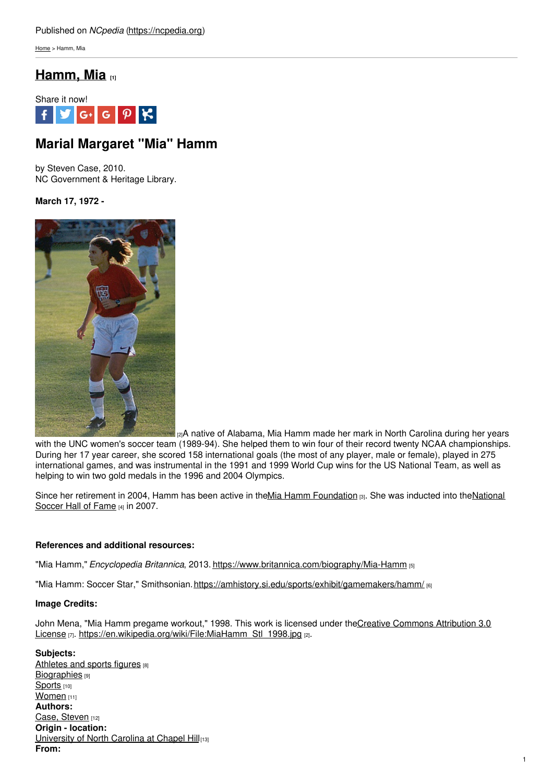[Home](https://ncpedia.org/) > Hamm, Mia

# **[Hamm,](https://ncpedia.org/hamm-mia) Mia [1]**



# **Marial Margaret "Mia" Hamm**

by Steven Case, 2010. NC Government & Heritage Library.

## **March 17, 1972 -**



[2]A native of Alabama, Mia Hamm made her mark in North Carolina during her years with the UNC women's soccer team (1989-94). She helped them to win four of their record twenty NCAA championships. During her 17 year career, she scored 158 international goals (the most of any player, male or female), played in 275 international games, and was instrumental in the 1991 and 1999 World Cup wins for the US National Team, as well as helping to win two gold medals in the 1996 and 2004 Olympics.

Since her retirement in 2004, Hamm has been active in theMia Hamm [Foundation](https://www.ussoccer.com/) [3]. She was inducted into theNational Soccer Hall of Fame [4] in 2007.

## **References and additional resources:**

"Mia Hamm," *Encyclopedia Britannica*, 2013. <https://www.britannica.com/biography/Mia-Hamm> [5]

"Mia Hamm: Soccer Star," Smithsonian.<https://amhistory.si.edu/sports/exhibit/gamemakers/hamm/> [6]

### **Image Credits:**

John Mena, "Mia Hamm pregame workout," 1998. This work is licensed under the Creative Commons Attribution 3.0 License [7]. [https://en.wikipedia.org/wiki/File:MiaHamm\\_Stl\\_1998.jpg](https://creativecommons.org/licenses/by/3.0/) [2].

**Subjects:** [Athletes](https://ncpedia.org/category/subjects/athletes-sports-figures) and sports figures [8] [Biographies](https://ncpedia.org/category/subjects/biography-term) [9] [Sports](https://ncpedia.org/category/subjects/sports) [10] [Women](https://ncpedia.org/category/subjects/women) [11] **Authors:** Case, [Steven](https://ncpedia.org/category/authors/case-steven) [12] **Origin - location:** [University](https://ncpedia.org/category/origin-location/piedmon-33) of North Carolina at Chapel Hill[13] **From:**